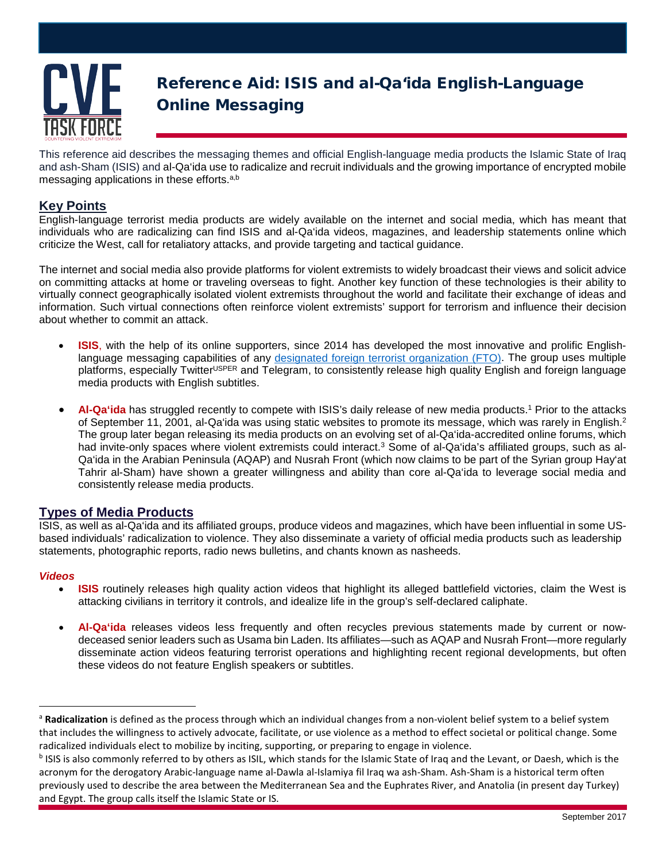

# Reference Aid: ISIS and al-Qa'ida English-Language Online Messaging

This reference aid describes the messaging themes and official English-language media products the Islamic State of Iraq and ash-Sham (ISIS) and al-Qa'ida use to radicalize and recruit individuals and the growing importance of encrypted mobile messaging applications in these efforts.<sup>a,b</sup>

# **Key Points**

English-language terrorist media products are widely available on the internet and social media, which has meant that individuals who are radicalizing can find ISIS and al-Qa'ida videos, magazines, and leadership statements online which criticize the West, call for retaliatory attacks, and provide targeting and tactical guidance.

The internet and social media also provide platforms for violent extremists to widely broadcast their views and solicit advice on committing attacks at home or traveling overseas to fight. Another key function of these technologies is their ability to virtually connect geographically isolated violent extremists throughout the world and facilitate their exchange of ideas and information. Such virtual connections often reinforce violent extremists' support for terrorism and influence their decision about whether to commit an attack.

- **ISIS**, with the help of its online supporters, since 2014 has developed the most innovative and prolific Englishlanguage messaging capabilities of any [designated foreign terrorist organization \(FTO\).](https://www.state.gov/j/ct/rls/other/des/123085.htm) The group uses multiple platforms, especially Twitter<sup>USPER</sup> and Telegram, to consistently release high quality English and foreign language media products with English subtitles.
- Al-Qa'ida has struggled recently to compete with ISIS's daily release of new media products.<sup>1</sup> Prior to the attacks of September 11, 2001, al-Qaʻida was using static websites to promote its message, which was rarely in English.<sup>2</sup> The group later began releasing its media products on an evolving set of al-Qa'ida-accredited online forums, which had invite-only spaces where violent extremists could interact.<sup>3</sup> Some of al-Qa'ida's affiliated groups, such as al-Qa'ida in the Arabian Peninsula (AQAP) and Nusrah Front (which now claims to be part of the Syrian group Hay'at Tahrir al-Sham) have shown a greater willingness and ability than core al-Qa'ida to leverage social media and consistently release media products.

## **Types of Media Products**

ISIS, as well as al-Qa'ida and its affiliated groups, produce videos and magazines, which have been influential in some USbased individuals' radicalization to violence. They also disseminate a variety of official media products such as leadership statements, photographic reports, radio news bulletins, and chants known as nasheeds.

#### *Videos*

- **ISIS** routinely releases high quality action videos that highlight its alleged battlefield victories, claim the West is attacking civilians in territory it controls, and idealize life in the group's self-declared caliphate.
- **Al-Qa'ida** releases videos less frequently and often recycles previous statements made by current or nowdeceased senior leaders such as Usama bin Laden. Its affiliates—such as AQAP and Nusrah Front—more regularly disseminate action videos featuring terrorist operations and highlighting recent regional developments, but often these videos do not feature English speakers or subtitles.

<sup>&</sup>lt;sup>a</sup> Radicalization is defined as the process through which an individual changes from a non-violent belief system to a belief system that includes the willingness to actively advocate, facilitate, or use violence as a method to effect societal or political change. Some radicalized individuals elect to mobilize by inciting, supporting, or preparing to engage in violence.

b ISIS is also commonly referred to by others as ISIL, which stands for the Islamic State of Iraq and the Levant, or Daesh, which is the acronym for the derogatory Arabic-language name al-Dawla al-Islamiya fil Iraq wa ash-Sham. Ash-Sham is a historical term often previously used to describe the area between the Mediterranean Sea and the Euphrates River, and Anatolia (in present day Turkey) and Egypt. The group calls itself the Islamic State or IS.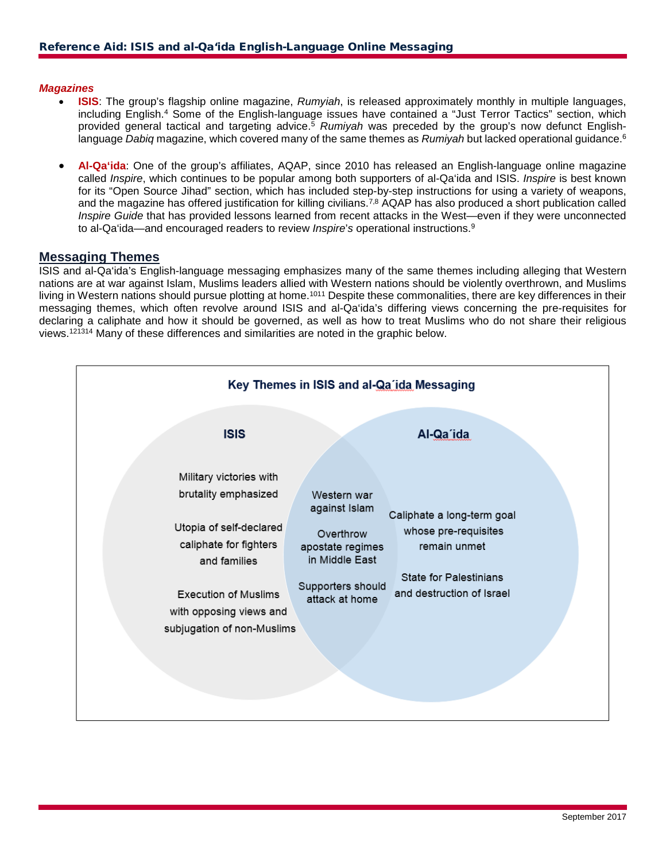#### *Magazines*

- **ISIS**: The group's flagship online magazine, *Rumyiah*, is released approximately monthly in multiple languages, including English.4 Some of the English-language issues have contained a "Just Terror Tactics" section, which provided general tactical and targeting advice.5 *Rumiyah* was preceded by the group's now defunct Englishlanguage *Dabig* magazine, which covered many of the same themes as *Rumiyah* but lacked operational guidance.<sup>6</sup>
- **Al-Qa'ida**: One of the group's affiliates, AQAP, since 2010 has released an English-language online magazine called *Inspire*, which continues to be popular among both supporters of al-Qa'ida and ISIS. *Inspire* is best known for its "Open Source Jihad" section, which has included step-by-step instructions for using a variety of weapons, and the magazine has offered justification for killing civilians.<sup>7,8</sup> AQAP has also produced a short publication called *Inspire Guide* that has provided lessons learned from recent attacks in the West—even if they were unconnected to al-Qa'ida—and encouraged readers to review *Inspire*'*s* operational instructions.9

#### **Messaging Themes**

ISIS and al-Qa'ida's English-language messaging emphasizes many of the same themes including alleging that Western nations are at war against Islam, Muslims leaders allied with Western nations should be violently overthrown, and Muslims living in Western nations should pursue plotting at home.<sup>1011</sup> Despite these commonalities, there are key differences in their messaging themes, which often revolve around ISIS and al-Qa'ida's differing views concerning the pre-requisites for declaring a caliphate and how it should be governed, as well as how to treat Muslims who do not share their religious views. <sup>121314</sup> Many of these differences and similarities are noted in the graphic below.

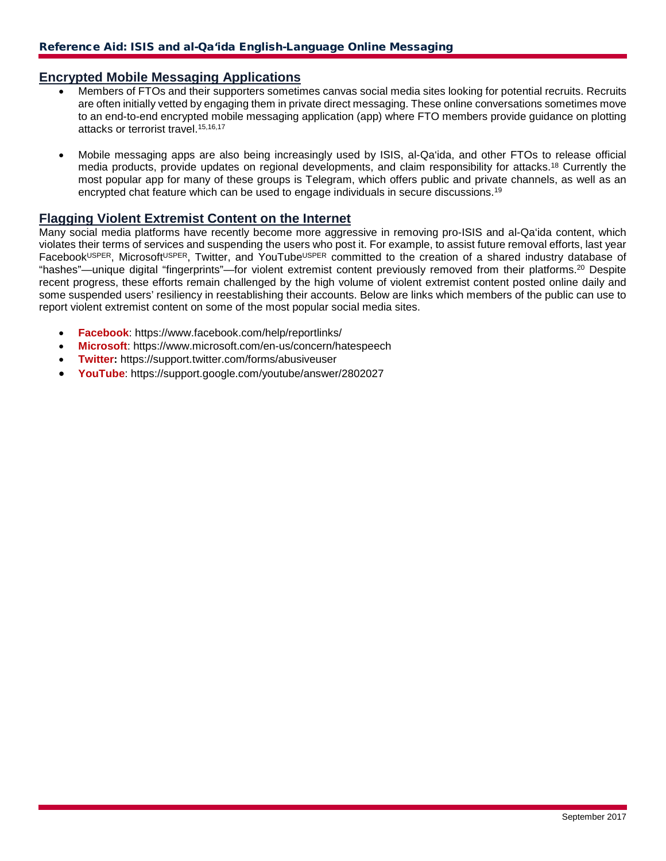## **Encrypted Mobile Messaging Applications**

- Members of FTOs and their supporters sometimes canvas social media sites looking for potential recruits. Recruits are often initially vetted by engaging them in private direct messaging. These online conversations sometimes move to an end-to-end encrypted mobile messaging application (app) where FTO members provide guidance on plotting attacks or terrorist travel.<sup>15,16,17</sup>
- Mobile messaging apps are also being increasingly used by ISIS, al-Qa'ida, and other FTOs to release official media products, provide updates on regional developments, and claim responsibility for attacks.18 Currently the most popular app for many of these groups is Telegram, which offers public and private channels, as well as an encrypted chat feature which can be used to engage individuals in secure discussions.19

## **Flagging Violent Extremist Content on the Internet**

Many social media platforms have recently become more aggressive in removing pro-ISIS and al-Qa'ida content, which violates their terms of services and suspending the users who post it. For example, to assist future removal efforts, last year FacebookUSPER, MicrosoftUSPER, Twitter, and YouTubeUSPER committed to the creation of a shared industry database of "hashes"—unique digital "fingerprints"—for violent extremist content previously removed from their platforms.20 Despite recent progress, these efforts remain challenged by the high volume of violent extremist content posted online daily and some suspended users' resiliency in reestablishing their accounts. Below are links which members of the public can use to report violent extremist content on some of the most popular social media sites.

- **Facebook**: https://www.facebook.com/help/reportlinks/
- **Microsoft**: https://www.microsoft.com/en-us/concern/hatespeech
- **Twitter:** https://support.twitter.com/forms/abusiveuser
- **YouTube**: https://support.google.com/youtube/answer/2802027